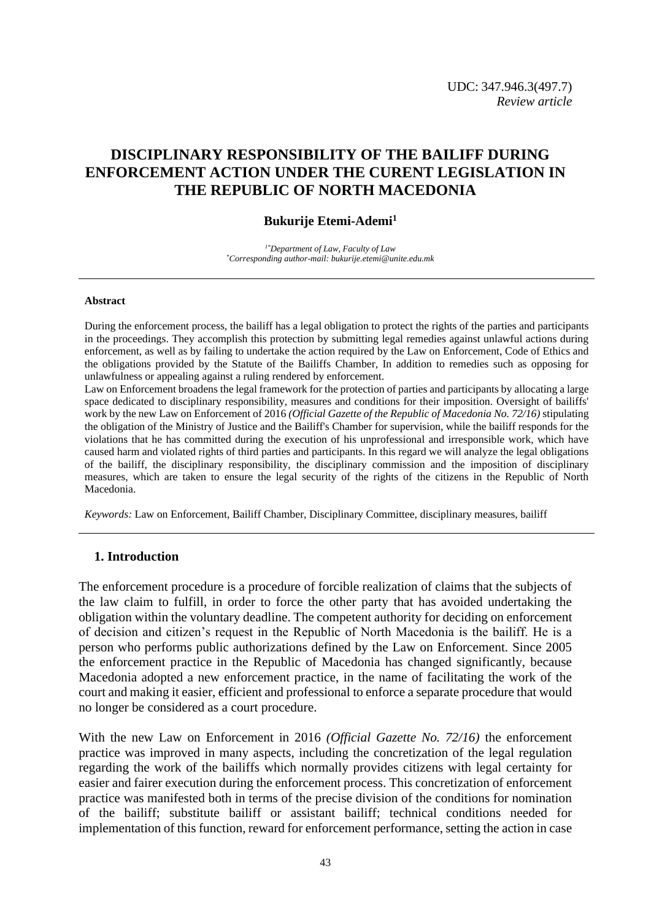# **DISCIPLINARY RESPONSIBILITY OF THE BAILIFF DURING ENFORCEMENT ACTION UNDER THE CURENT LEGISLATION IN THE REPUBLIC OF NORTH MACEDONIA**

## **Bukurije Etemi-Ademi<sup>1</sup>**

*1\*Department of Law, Faculty of Law \*Corresponding author-mail: bukurije.etemi@unite.edu.mk*

#### **Abstract**

During the enforcement process, the bailiff has a legal obligation to protect the rights of the parties and participants in the proceedings. They accomplish this protection by submitting legal remedies against unlawful actions during enforcement, as well as by failing to undertake the action required by the Law on Enforcement, Code of Ethics and the obligations provided by the Statute of the Bailiffs Chamber, In addition to remedies such as opposing for unlawfulness or appealing against a ruling rendered by enforcement.

Law on Enforcement broadens the legal framework for the protection of parties and participants by allocating a large space dedicated to disciplinary responsibility, measures and conditions for their imposition. Oversight of bailiffs' work by the new Law on Enforcement of 2016 *(Official Gazette of the Republic of Macedonia No. 72/16)* stipulating the obligation of the Ministry of Justice and the Bailiff's Chamber for supervision, while the bailiff responds for the violations that he has committed during the execution of his unprofessional and irresponsible work, which have caused harm and violated rights of third parties and participants. In this regard we will analyze the legal obligations of the bailiff, the disciplinary responsibility, the disciplinary commission and the imposition of disciplinary measures, which are taken to ensure the legal security of the rights of the citizens in the Republic of North Macedonia.

*Keywords:* Law on Enforcement, Bailiff Chamber, Disciplinary Committee, disciplinary measures, bailiff

### **1. Introduction**

The enforcement procedure is a procedure of forcible realization of claims that the subjects of the law claim to fulfill, in order to force the other party that has avoided undertaking the obligation within the voluntary deadline. The competent authority for deciding on enforcement of decision and citizen's request in the Republic of North Macedonia is the bailiff. He is a person who performs public authorizations defined by the Law on Enforcement. Since 2005 the enforcement practice in the Republic of Macedonia has changed significantly, because Macedonia adopted a new enforcement practice, in the name of facilitating the work of the court and making it easier, efficient and professional to enforce a separate procedure that would no longer be considered as a court procedure.

With the new Law on Enforcement in 2016 *(Official Gazette No. 72/16)* the enforcement practice was improved in many aspects, including the concretization of the legal regulation regarding the work of the bailiffs which normally provides citizens with legal certainty for easier and fairer execution during the enforcement process. This concretization of enforcement practice was manifested both in terms of the precise division of the conditions for nomination of the bailiff; substitute bailiff or assistant bailiff; technical conditions needed for implementation of this function, reward for enforcement performance, setting the action in case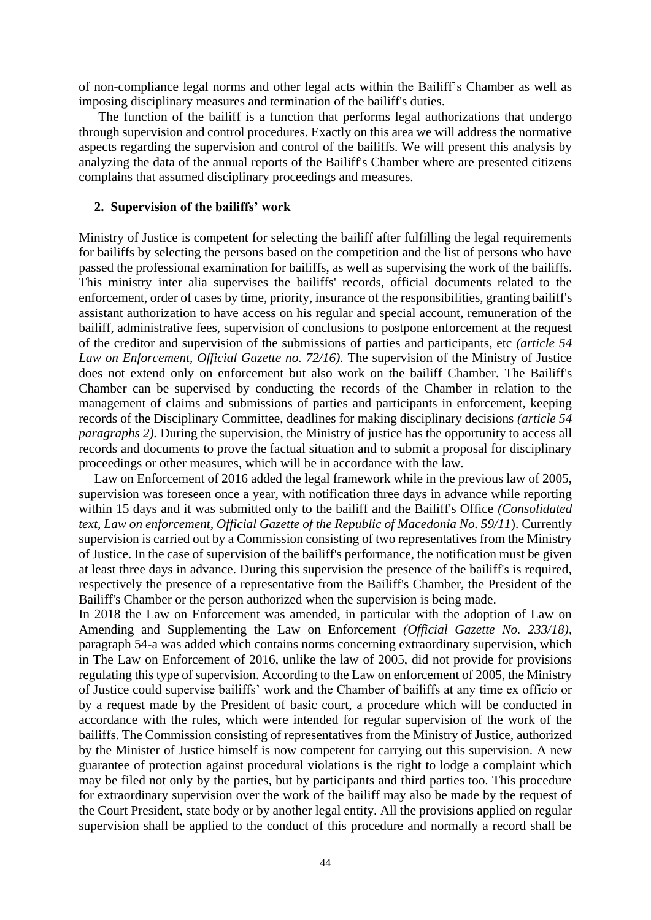of non-compliance legal norms and other legal acts within the Bailiff's Chamber as well as imposing disciplinary measures and termination of the bailiff's duties.

The function of the bailiff is a function that performs legal authorizations that undergo through supervision and control procedures. Exactly on this area we will address the normative aspects regarding the supervision and control of the bailiffs. We will present this analysis by analyzing the data of the annual reports of the Bailiff's Chamber where are presented citizens complains that assumed disciplinary proceedings and measures.

#### **2. Supervision of the bailiffs' work**

Ministry of Justice is competent for selecting the bailiff after fulfilling the legal requirements for bailiffs by selecting the persons based on the competition and the list of persons who have passed the professional examination for bailiffs, as well as supervising the work of the bailiffs. This ministry inter alia supervises the bailiffs' records, official documents related to the enforcement, order of cases by time, priority, insurance of the responsibilities, granting bailiff's assistant authorization to have access on his regular and special account, remuneration of the bailiff, administrative fees, supervision of conclusions to postpone enforcement at the request of the creditor and supervision of the submissions of parties and participants, etc *(article 54 Law on Enforcement, Official Gazette no. 72/16).* The supervision of the Ministry of Justice does not extend only on enforcement but also work on the bailiff Chamber. The Bailiff's Chamber can be supervised by conducting the records of the Chamber in relation to the management of claims and submissions of parties and participants in enforcement, keeping records of the Disciplinary Committee, deadlines for making disciplinary decisions *(article 54 paragraphs 2).* During the supervision, the Ministry of justice has the opportunity to access all records and documents to prove the factual situation and to submit a proposal for disciplinary proceedings or other measures, which will be in accordance with the law.

Law on Enforcement of 2016 added the legal framework while in the previous law of 2005, supervision was foreseen once a year, with notification three days in advance while reporting within 15 days and it was submitted only to the bailiff and the Bailiff's Office *(Consolidated text, Law on enforcement, Official Gazette of the Republic of Macedonia No. 59/11*). Currently supervision is carried out by a Commission consisting of two representatives from the Ministry of Justice. In the case of supervision of the bailiff's performance, the notification must be given at least three days in advance. During this supervision the presence of the bailiff's is required, respectively the presence of a representative from the Bailiff's Chamber, the President of the Bailiff's Chamber or the person authorized when the supervision is being made.

In 2018 the Law on Enforcement was amended, in particular with the adoption of Law on Amending and Supplementing the Law on Enforcement *(Official Gazette No. 233/18)*, paragraph 54-a was added which contains norms concerning extraordinary supervision, which in The Law on Enforcement of 2016, unlike the law of 2005, did not provide for provisions regulating this type of supervision. According to the Law on enforcement of 2005, the Ministry of Justice could supervise bailiffs' work and the Chamber of bailiffs at any time ex officio or by a request made by the President of basic court, a procedure which will be conducted in accordance with the rules, which were intended for regular supervision of the work of the bailiffs. The Commission consisting of representatives from the Ministry of Justice, authorized by the Minister of Justice himself is now competent for carrying out this supervision. A new guarantee of protection against procedural violations is the right to lodge a complaint which may be filed not only by the parties, but by participants and third parties too. This procedure for extraordinary supervision over the work of the bailiff may also be made by the request of the Court President, state body or by another legal entity. All the provisions applied on regular supervision shall be applied to the conduct of this procedure and normally a record shall be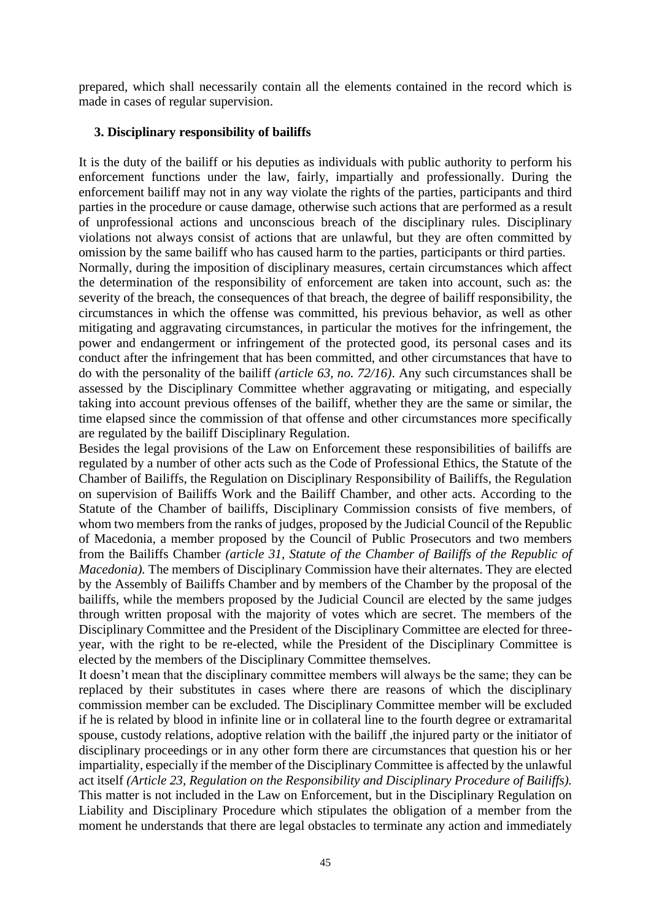prepared, which shall necessarily contain all the elements contained in the record which is made in cases of regular supervision.

# **3. Disciplinary responsibility of bailiffs**

It is the duty of the bailiff or his deputies as individuals with public authority to perform his enforcement functions under the law, fairly, impartially and professionally. During the enforcement bailiff may not in any way violate the rights of the parties, participants and third parties in the procedure or cause damage, otherwise such actions that are performed as a result of unprofessional actions and unconscious breach of the disciplinary rules. Disciplinary violations not always consist of actions that are unlawful, but they are often committed by omission by the same bailiff who has caused harm to the parties, participants or third parties.

Normally, during the imposition of disciplinary measures, certain circumstances which affect the determination of the responsibility of enforcement are taken into account, such as: the severity of the breach, the consequences of that breach, the degree of bailiff responsibility, the circumstances in which the offense was committed, his previous behavior, as well as other mitigating and aggravating circumstances, in particular the motives for the infringement, the power and endangerment or infringement of the protected good, its personal cases and its conduct after the infringement that has been committed, and other circumstances that have to do with the personality of the bailiff *(article 63, no. 72/16)*. Any such circumstances shall be assessed by the Disciplinary Committee whether aggravating or mitigating, and especially taking into account previous offenses of the bailiff, whether they are the same or similar, the time elapsed since the commission of that offense and other circumstances more specifically are regulated by the bailiff Disciplinary Regulation.

Besides the legal provisions of the Law on Enforcement these responsibilities of bailiffs are regulated by a number of other acts such as the Code of Professional Ethics, the Statute of the Chamber of Bailiffs, the Regulation on Disciplinary Responsibility of Bailiffs, the Regulation on supervision of Bailiffs Work and the Bailiff Chamber, and other acts. According to the Statute of the Chamber of bailiffs, Disciplinary Commission consists of five members, of whom two members from the ranks of judges, proposed by the Judicial Council of the Republic of Macedonia, a member proposed by the Council of Public Prosecutors and two members from the Bailiffs Chamber *(article 31, Statute of the Chamber of Bailiffs of the Republic of Macedonia*). The members of Disciplinary Commission have their alternates. They are elected by the Assembly of Bailiffs Chamber and by members of the Chamber by the proposal of the bailiffs, while the members proposed by the Judicial Council are elected by the same judges through written proposal with the majority of votes which are secret. The members of the Disciplinary Committee and the President of the Disciplinary Committee are elected for threeyear, with the right to be re-elected, while the President of the Disciplinary Committee is elected by the members of the Disciplinary Committee themselves.

It doesn't mean that the disciplinary committee members will always be the same; they can be replaced by their substitutes in cases where there are reasons of which the disciplinary commission member can be excluded. The Disciplinary Committee member will be excluded if he is related by blood in infinite line or in collateral line to the fourth degree or extramarital spouse, custody relations, adoptive relation with the bailiff ,the injured party or the initiator of disciplinary proceedings or in any other form there are circumstances that question his or her impartiality, especially if the member of the Disciplinary Committee is affected by the unlawful act itself *(Article 23, Regulation on the Responsibility and Disciplinary Procedure of Bailiffs).* This matter is not included in the Law on Enforcement, but in the Disciplinary Regulation on Liability and Disciplinary Procedure which stipulates the obligation of a member from the moment he understands that there are legal obstacles to terminate any action and immediately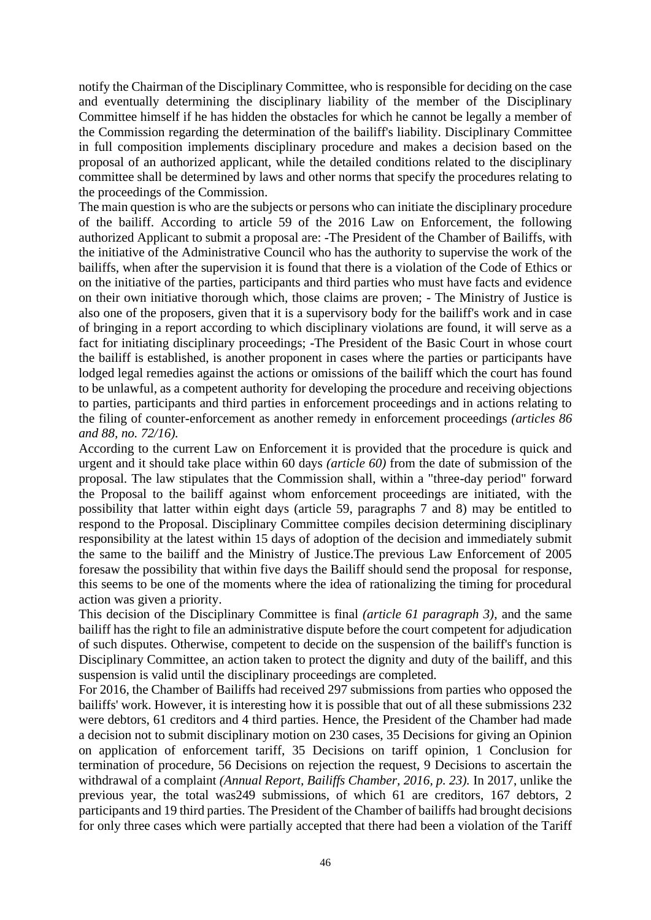notify the Chairman of the Disciplinary Committee, who is responsible for deciding on the case and eventually determining the disciplinary liability of the member of the Disciplinary Committee himself if he has hidden the obstacles for which he cannot be legally a member of the Commission regarding the determination of the bailiff's liability. Disciplinary Committee in full composition implements disciplinary procedure and makes a decision based on the proposal of an authorized applicant, while the detailed conditions related to the disciplinary committee shall be determined by laws and other norms that specify the procedures relating to the proceedings of the Commission.

The main question is who are the subjects or persons who can initiate the disciplinary procedure of the bailiff. According to article 59 of the 2016 Law on Enforcement, the following authorized Applicant to submit a proposal are: -The President of the Chamber of Bailiffs, with the initiative of the Administrative Council who has the authority to supervise the work of the bailiffs, when after the supervision it is found that there is a violation of the Code of Ethics or on the initiative of the parties, participants and third parties who must have facts and evidence on their own initiative thorough which, those claims are proven; - The Ministry of Justice is also one of the proposers, given that it is a supervisory body for the bailiff's work and in case of bringing in a report according to which disciplinary violations are found, it will serve as a fact for initiating disciplinary proceedings; -The President of the Basic Court in whose court the bailiff is established, is another proponent in cases where the parties or participants have lodged legal remedies against the actions or omissions of the bailiff which the court has found to be unlawful, as a competent authority for developing the procedure and receiving objections to parties, participants and third parties in enforcement proceedings and in actions relating to the filing of counter-enforcement as another remedy in enforcement proceedings *(articles 86 and 88, no. 72/16).*

According to the current Law on Enforcement it is provided that the procedure is quick and urgent and it should take place within 60 days *(article 60)* from the date of submission of the proposal. The law stipulates that the Commission shall, within a "three-day period" forward the Proposal to the bailiff against whom enforcement proceedings are initiated, with the possibility that latter within eight days (article 59, paragraphs 7 and 8) may be entitled to respond to the Proposal. Disciplinary Committee compiles decision determining disciplinary responsibility at the latest within 15 days of adoption of the decision and immediately submit the same to the bailiff and the Ministry of Justice.The previous Law Enforcement of 2005 foresaw the possibility that within five days the Bailiff should send the proposal for response, this seems to be one of the moments where the idea of rationalizing the timing for procedural action was given a priority.

This decision of the Disciplinary Committee is final *(article 61 paragraph 3)*, and the same bailiff has the right to file an administrative dispute before the court competent for adjudication of such disputes. Otherwise, competent to decide on the suspension of the bailiff's function is Disciplinary Committee, an action taken to protect the dignity and duty of the bailiff, and this suspension is valid until the disciplinary proceedings are completed.

For 2016, the Chamber of Bailiffs had received 297 submissions from parties who opposed the bailiffs' work. However, it is interesting how it is possible that out of all these submissions 232 were debtors, 61 creditors and 4 third parties. Hence, the President of the Chamber had made a decision not to submit disciplinary motion on 230 cases, 35 Decisions for giving an Opinion on application of enforcement tariff, 35 Decisions on tariff opinion, 1 Conclusion for termination of procedure, 56 Decisions on rejection the request, 9 Decisions to ascertain the withdrawal of a complaint *(Annual Report, Bailiffs Chamber, 2016, p. 23).* In 2017, unlike the previous year, the total was249 submissions, of which 61 are creditors, 167 debtors, 2 participants and 19 third parties. The President of the Chamber of bailiffs had brought decisions for only three cases which were partially accepted that there had been a violation of the Tariff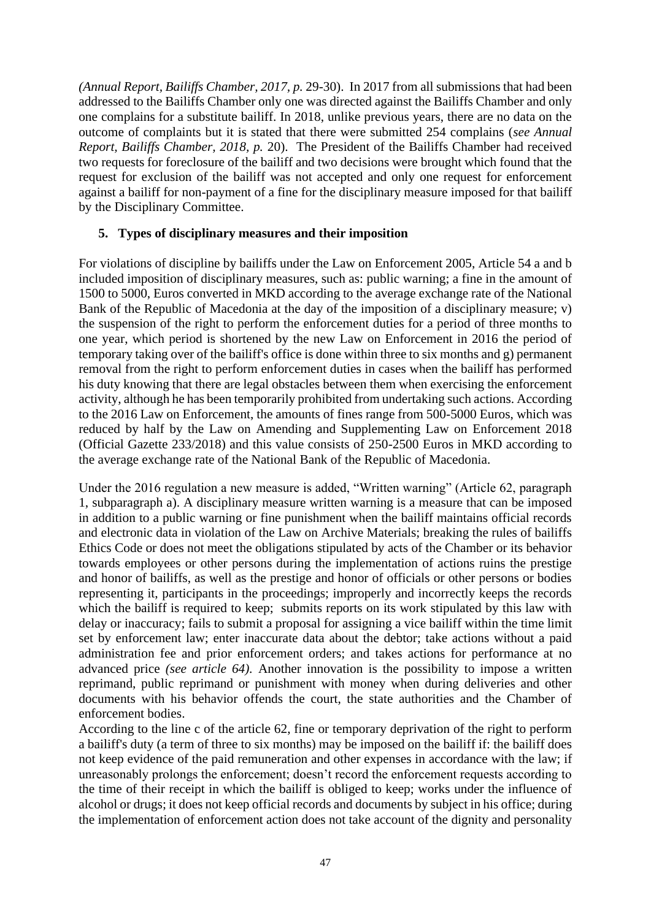*(Annual Report, Bailiffs Chamber, 2017, p.* 29-30). In 2017 from all submissions that had been addressed to the Bailiffs Chamber only one was directed against the Bailiffs Chamber and only one complains for a substitute bailiff. In 2018, unlike previous years, there are no data on the outcome of complaints but it is stated that there were submitted 254 complains (*see Annual Report, Bailiffs Chamber, 2018, p.* 20). The President of the Bailiffs Chamber had received two requests for foreclosure of the bailiff and two decisions were brought which found that the request for exclusion of the bailiff was not accepted and only one request for enforcement against a bailiff for non-payment of a fine for the disciplinary measure imposed for that bailiff by the Disciplinary Committee.

# **5. Types of disciplinary measures and their imposition**

For violations of discipline by bailiffs under the Law on Enforcement 2005, Article 54 a and b included imposition of disciplinary measures, such as: public warning; a fine in the amount of 1500 to 5000, Euros converted in MKD according to the average exchange rate of the National Bank of the Republic of Macedonia at the day of the imposition of a disciplinary measure; v) the suspension of the right to perform the enforcement duties for a period of three months to one year, which period is shortened by the new Law on Enforcement in 2016 the period of temporary taking over of the bailiff's office is done within three to six months and g) permanent removal from the right to perform enforcement duties in cases when the bailiff has performed his duty knowing that there are legal obstacles between them when exercising the enforcement activity, although he has been temporarily prohibited from undertaking such actions. According to the 2016 Law on Enforcement, the amounts of fines range from 500-5000 Euros, which was reduced by half by the Law on Amending and Supplementing Law on Enforcement 2018 (Official Gazette 233/2018) and this value consists of 250-2500 Euros in MKD according to the average exchange rate of the National Bank of the Republic of Macedonia.

Under the 2016 regulation a new measure is added, "Written warning" (Article 62, paragraph 1, subparagraph a). A disciplinary measure written warning is a measure that can be imposed in addition to a public warning or fine punishment when the bailiff maintains official records and electronic data in violation of the Law on Archive Materials; breaking the rules of bailiffs Ethics Code or does not meet the obligations stipulated by acts of the Chamber or its behavior towards employees or other persons during the implementation of actions ruins the prestige and honor of bailiffs, as well as the prestige and honor of officials or other persons or bodies representing it, participants in the proceedings; improperly and incorrectly keeps the records which the bailiff is required to keep; submits reports on its work stipulated by this law with delay or inaccuracy; fails to submit a proposal for assigning a vice bailiff within the time limit set by enforcement law; enter inaccurate data about the debtor; take actions without a paid administration fee and prior enforcement orders; and takes actions for performance at no advanced price *(see article 64).* Another innovation is the possibility to impose a written reprimand, public reprimand or punishment with money when during deliveries and other documents with his behavior offends the court, the state authorities and the Chamber of enforcement bodies.

According to the line c of the article 62, fine or temporary deprivation of the right to perform a bailiff's duty (a term of three to six months) may be imposed on the bailiff if: the bailiff does not keep evidence of the paid remuneration and other expenses in accordance with the law; if unreasonably prolongs the enforcement; doesn't record the enforcement requests according to the time of their receipt in which the bailiff is obliged to keep; works under the influence of alcohol or drugs; it does not keep official records and documents by subject in his office; during the implementation of enforcement action does not take account of the dignity and personality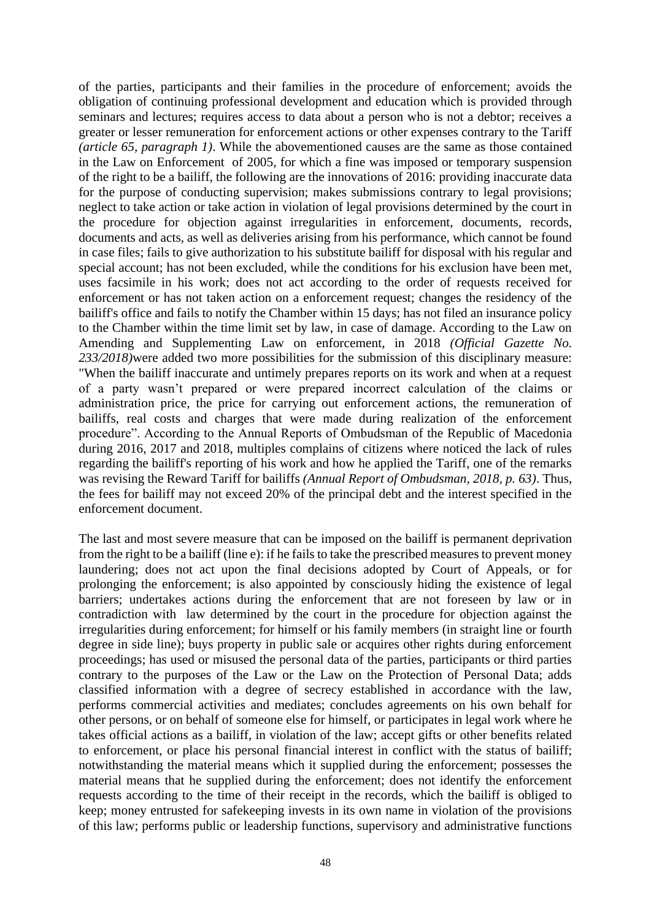of the parties, participants and their families in the procedure of enforcement; avoids the obligation of continuing professional development and education which is provided through seminars and lectures; requires access to data about a person who is not a debtor; receives a greater or lesser remuneration for enforcement actions or other expenses contrary to the Tariff *(article 65, paragraph 1)*. While the abovementioned causes are the same as those contained in the Law on Enforcement of 2005, for which a fine was imposed or temporary suspension of the right to be a bailiff, the following are the innovations of 2016: providing inaccurate data for the purpose of conducting supervision; makes submissions contrary to legal provisions; neglect to take action or take action in violation of legal provisions determined by the court in the procedure for objection against irregularities in enforcement, documents, records, documents and acts, as well as deliveries arising from his performance, which cannot be found in case files; fails to give authorization to his substitute bailiff for disposal with his regular and special account; has not been excluded, while the conditions for his exclusion have been met, uses facsimile in his work; does not act according to the order of requests received for enforcement or has not taken action on a enforcement request; changes the residency of the bailiff's office and fails to notify the Chamber within 15 days; has not filed an insurance policy to the Chamber within the time limit set by law, in case of damage. According to the Law on Amending and Supplementing Law on enforcement, in 2018 *(Official Gazette No. 233/2018)*were added two more possibilities for the submission of this disciplinary measure: "When the bailiff inaccurate and untimely prepares reports on its work and when at a request of a party wasn't prepared or were prepared incorrect calculation of the claims or administration price, the price for carrying out enforcement actions, the remuneration of bailiffs, real costs and charges that were made during realization of the enforcement procedure". According to the Annual Reports of Ombudsman of the Republic of Macedonia during 2016, 2017 and 2018, multiples complains of citizens where noticed the lack of rules regarding the bailiff's reporting of his work and how he applied the Tariff, one of the remarks was revising the Reward Tariff for bailiffs *(Annual Report of Ombudsman, 2018, p. 63)*. Thus, the fees for bailiff may not exceed 20% of the principal debt and the interest specified in the enforcement document.

The last and most severe measure that can be imposed on the bailiff is permanent deprivation from the right to be a bailiff (line e): if he fails to take the prescribed measures to prevent money laundering; does not act upon the final decisions adopted by Court of Appeals, or for prolonging the enforcement; is also appointed by consciously hiding the existence of legal barriers; undertakes actions during the enforcement that are not foreseen by law or in contradiction with law determined by the court in the procedure for objection against the irregularities during enforcement; for himself or his family members (in straight line or fourth degree in side line); buys property in public sale or acquires other rights during enforcement proceedings; has used or misused the personal data of the parties, participants or third parties contrary to the purposes of the Law or the Law on the Protection of Personal Data; adds classified information with a degree of secrecy established in accordance with the law, performs commercial activities and mediates; concludes agreements on his own behalf for other persons, or on behalf of someone else for himself, or participates in legal work where he takes official actions as a bailiff, in violation of the law; accept gifts or other benefits related to enforcement, or place his personal financial interest in conflict with the status of bailiff; notwithstanding the material means which it supplied during the enforcement; possesses the material means that he supplied during the enforcement; does not identify the enforcement requests according to the time of their receipt in the records, which the bailiff is obliged to keep; money entrusted for safekeeping invests in its own name in violation of the provisions of this law; performs public or leadership functions, supervisory and administrative functions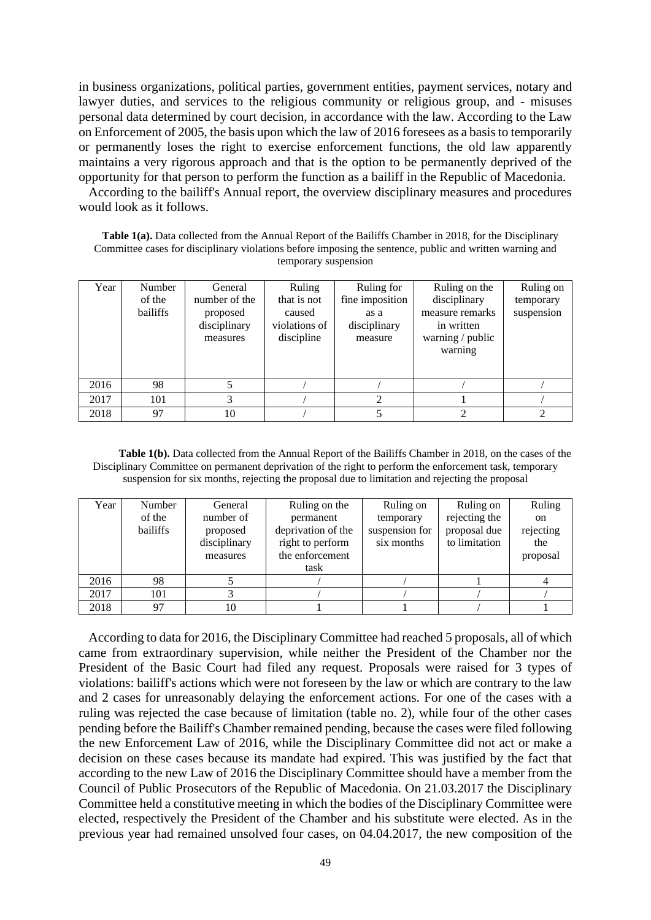in business organizations, political parties, government entities, payment services, notary and lawyer duties, and services to the religious community or religious group, and - misuses personal data determined by court decision, in accordance with the law. According to the Law on Enforcement of 2005, the basis upon which the law of 2016 foresees as a basis to temporarily or permanently loses the right to exercise enforcement functions, the old law apparently maintains a very rigorous approach and that is the option to be permanently deprived of the opportunity for that person to perform the function as a bailiff in the Republic of Macedonia.

According to the bailiff's Annual report, the overview disciplinary measures and procedures would look as it follows.

Table 1(a). Data collected from the Annual Report of the Bailiffs Chamber in 2018, for the Disciplinary Committee cases for disciplinary violations before imposing the sentence, public and written warning and temporary suspension

| Year | Number<br>of the<br>bailiffs | General<br>number of the<br>proposed<br>disciplinary<br>measures | Ruling<br>that is not<br>caused<br>violations of<br>discipline | Ruling for<br>fine imposition<br>as a<br>disciplinary<br>measure | Ruling on the<br>disciplinary<br>measure remarks<br>in written<br>warning / public<br>warning | Ruling on<br>temporary<br>suspension |
|------|------------------------------|------------------------------------------------------------------|----------------------------------------------------------------|------------------------------------------------------------------|-----------------------------------------------------------------------------------------------|--------------------------------------|
| 2016 | 98                           |                                                                  |                                                                |                                                                  |                                                                                               |                                      |
| 2017 | 101                          | 3                                                                |                                                                |                                                                  |                                                                                               |                                      |
| 2018 | 97                           | 10                                                               |                                                                |                                                                  | ↑                                                                                             |                                      |

**Table 1(b).** Data collected from the Annual Report of the Bailiffs Chamber in 2018, on the cases of the Disciplinary Committee on permanent deprivation of the right to perform the enforcement task, temporary suspension for six months, rejecting the proposal due to limitation and rejecting the proposal

| Year | Number<br>of the<br>bailiffs | General<br>number of<br>proposed<br>disciplinary<br>measures | Ruling on the<br>permanent<br>deprivation of the<br>right to perform<br>the enforcement<br>task | Ruling on<br>temporary<br>suspension for<br>six months | Ruling on<br>rejecting the<br>proposal due<br>to limitation | Ruling<br>on<br>rejecting<br>the<br>proposal |
|------|------------------------------|--------------------------------------------------------------|-------------------------------------------------------------------------------------------------|--------------------------------------------------------|-------------------------------------------------------------|----------------------------------------------|
| 2016 | 98                           |                                                              |                                                                                                 |                                                        |                                                             |                                              |
| 2017 | 101                          |                                                              |                                                                                                 |                                                        |                                                             |                                              |
| 2018 | 97                           |                                                              |                                                                                                 |                                                        |                                                             |                                              |

According to data for 2016, the Disciplinary Committee had reached 5 proposals, all of which came from extraordinary supervision, while neither the President of the Chamber nor the President of the Basic Court had filed any request. Proposals were raised for 3 types of violations: bailiff's actions which were not foreseen by the law or which are contrary to the law and 2 cases for unreasonably delaying the enforcement actions. For one of the cases with a ruling was rejected the case because of limitation (table no. 2), while four of the other cases pending before the Bailiff's Chamber remained pending, because the cases were filed following the new Enforcement Law of 2016, while the Disciplinary Committee did not act or make a decision on these cases because its mandate had expired. This was justified by the fact that according to the new Law of 2016 the Disciplinary Committee should have a member from the Council of Public Prosecutors of the Republic of Macedonia. On 21.03.2017 the Disciplinary Committee held a constitutive meeting in which the bodies of the Disciplinary Committee were elected, respectively the President of the Chamber and his substitute were elected. As in the previous year had remained unsolved four cases, on 04.04.2017, the new composition of the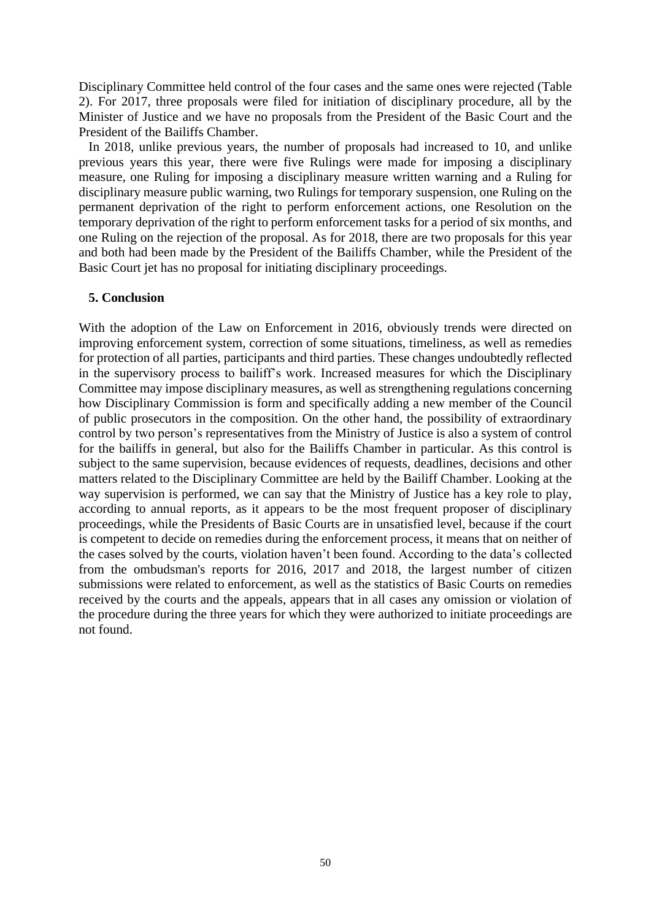Disciplinary Committee held control of the four cases and the same ones were rejected (Table 2). For 2017, three proposals were filed for initiation of disciplinary procedure, all by the Minister of Justice and we have no proposals from the President of the Basic Court and the President of the Bailiffs Chamber.

In 2018, unlike previous years, the number of proposals had increased to 10, and unlike previous years this year, there were five Rulings were made for imposing a disciplinary measure, one Ruling for imposing a disciplinary measure written warning and a Ruling for disciplinary measure public warning, two Rulings for temporary suspension, one Ruling on the permanent deprivation of the right to perform enforcement actions, one Resolution on the temporary deprivation of the right to perform enforcement tasks for a period of six months, and one Ruling on the rejection of the proposal. As for 2018, there are two proposals for this year and both had been made by the President of the Bailiffs Chamber, while the President of the Basic Court jet has no proposal for initiating disciplinary proceedings.

#### **5. Conclusion**

With the adoption of the Law on Enforcement in 2016, obviously trends were directed on improving enforcement system, correction of some situations, timeliness, as well as remedies for protection of all parties, participants and third parties. These changes undoubtedly reflected in the supervisory process to bailiff's work. Increased measures for which the Disciplinary Committee may impose disciplinary measures, as well as strengthening regulations concerning how Disciplinary Commission is form and specifically adding a new member of the Council of public prosecutors in the composition. On the other hand, the possibility of extraordinary control by two person's representatives from the Ministry of Justice is also a system of control for the bailiffs in general, but also for the Bailiffs Chamber in particular. As this control is subject to the same supervision, because evidences of requests, deadlines, decisions and other matters related to the Disciplinary Committee are held by the Bailiff Chamber. Looking at the way supervision is performed, we can say that the Ministry of Justice has a key role to play, according to annual reports, as it appears to be the most frequent proposer of disciplinary proceedings, while the Presidents of Basic Courts are in unsatisfied level, because if the court is competent to decide on remedies during the enforcement process, it means that on neither of the cases solved by the courts, violation haven't been found. According to the data's collected from the ombudsman's reports for 2016, 2017 and 2018, the largest number of citizen submissions were related to enforcement, as well as the statistics of Basic Courts on remedies received by the courts and the appeals, appears that in all cases any omission or violation of the procedure during the three years for which they were authorized to initiate proceedings are not found.